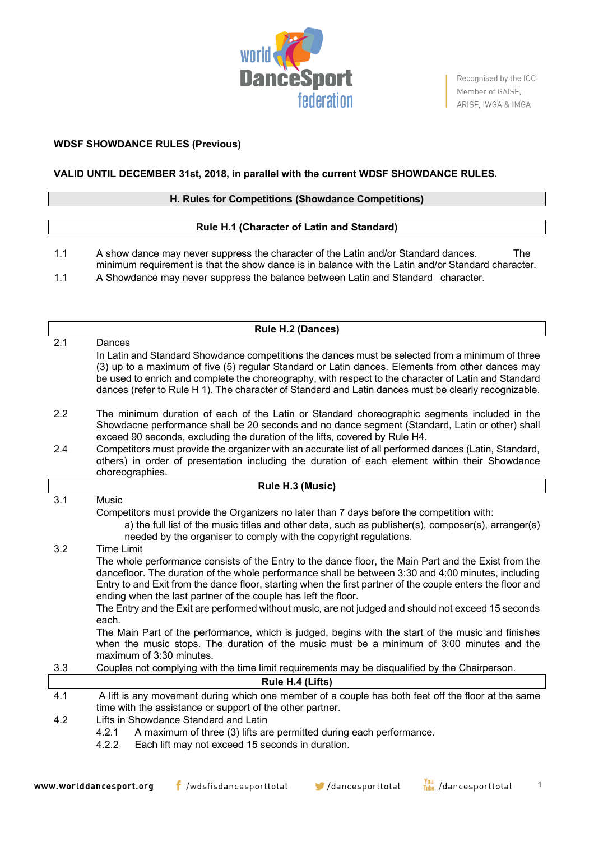

Recognised by the IOC Member of GAISF, ARISF, IWGA & IMGA

**1**

## **WDSF SHOWDANCE RULES (Previous)**

# **VALID UNTIL DECEMBER 31st, 2018, in parallel with the current WDSF SHOWDANCE RULES.**

### **H. Rules for Competitions (Showdance Competitions)**

### **Rule H.1 (Character of Latin and Standard)**

1.1 A show dance may never suppress the character of the Latin and/or Standard dances. The minimum requirement is that the show dance is in balance with the Latin and/or Standard character. 1.1 A Showdance may never suppress the balance between Latin and Standard character.

| Rule H.2 (Dances) |                                                                                                                                                                                                                                                                                                                                                                                                                                                                                                                                                                                                                                                                                                                                                                 |  |  |
|-------------------|-----------------------------------------------------------------------------------------------------------------------------------------------------------------------------------------------------------------------------------------------------------------------------------------------------------------------------------------------------------------------------------------------------------------------------------------------------------------------------------------------------------------------------------------------------------------------------------------------------------------------------------------------------------------------------------------------------------------------------------------------------------------|--|--|
| 2.1               | Dances<br>In Latin and Standard Showdance competitions the dances must be selected from a minimum of three<br>(3) up to a maximum of five (5) regular Standard or Latin dances. Elements from other dances may<br>be used to enrich and complete the choreography, with respect to the character of Latin and Standard                                                                                                                                                                                                                                                                                                                                                                                                                                          |  |  |
|                   | dances (refer to Rule H 1). The character of Standard and Latin dances must be clearly recognizable.                                                                                                                                                                                                                                                                                                                                                                                                                                                                                                                                                                                                                                                            |  |  |
| 2.2               | The minimum duration of each of the Latin or Standard choreographic segments included in the<br>Showdacne performance shall be 20 seconds and no dance segment (Standard, Latin or other) shall<br>exceed 90 seconds, excluding the duration of the lifts, covered by Rule H4.                                                                                                                                                                                                                                                                                                                                                                                                                                                                                  |  |  |
| 2.4               | Competitors must provide the organizer with an accurate list of all performed dances (Latin, Standard,<br>others) in order of presentation including the duration of each element within their Showdance<br>choreographies.                                                                                                                                                                                                                                                                                                                                                                                                                                                                                                                                     |  |  |
|                   | Rule H.3 (Music)                                                                                                                                                                                                                                                                                                                                                                                                                                                                                                                                                                                                                                                                                                                                                |  |  |
| 3.1               | Music<br>Competitors must provide the Organizers no later than 7 days before the competition with:<br>a) the full list of the music titles and other data, such as publisher(s), composer(s), arranger(s)<br>needed by the organiser to comply with the copyright regulations.                                                                                                                                                                                                                                                                                                                                                                                                                                                                                  |  |  |
| 3.2               | <b>Time Limit</b><br>The whole performance consists of the Entry to the dance floor, the Main Part and the Exist from the<br>dancefloor. The duration of the whole performance shall be between 3:30 and 4:00 minutes, including<br>Entry to and Exit from the dance floor, starting when the first partner of the couple enters the floor and<br>ending when the last partner of the couple has left the floor.<br>The Entry and the Exit are performed without music, are not judged and should not exceed 15 seconds<br>each.<br>The Main Part of the performance, which is judged, begins with the start of the music and finishes<br>when the music stops. The duration of the music must be a minimum of 3:00 minutes and the<br>maximum of 3:30 minutes. |  |  |
| 3.3               | Couples not complying with the time limit requirements may be disqualified by the Chairperson.                                                                                                                                                                                                                                                                                                                                                                                                                                                                                                                                                                                                                                                                  |  |  |
|                   | Rule H.4 (Lifts)                                                                                                                                                                                                                                                                                                                                                                                                                                                                                                                                                                                                                                                                                                                                                |  |  |
| 4.1               | A lift is any movement during which one member of a couple has both feet off the floor at the same<br>time with the assistance or support of the other partner.                                                                                                                                                                                                                                                                                                                                                                                                                                                                                                                                                                                                 |  |  |
| 4.2               | Lifts in Showdance Standard and Latin<br>4.2.1<br>A maximum of three (3) lifts are permitted during each performance.<br>4.2.2<br>Each lift may not exceed 15 seconds in duration.                                                                                                                                                                                                                                                                                                                                                                                                                                                                                                                                                                              |  |  |

<mark>You</mark> /dancesporttotal  $f$  /wdsfisdancesporttotal  $\blacktriangleright$ /dancesporttotal www.worlddancesport.org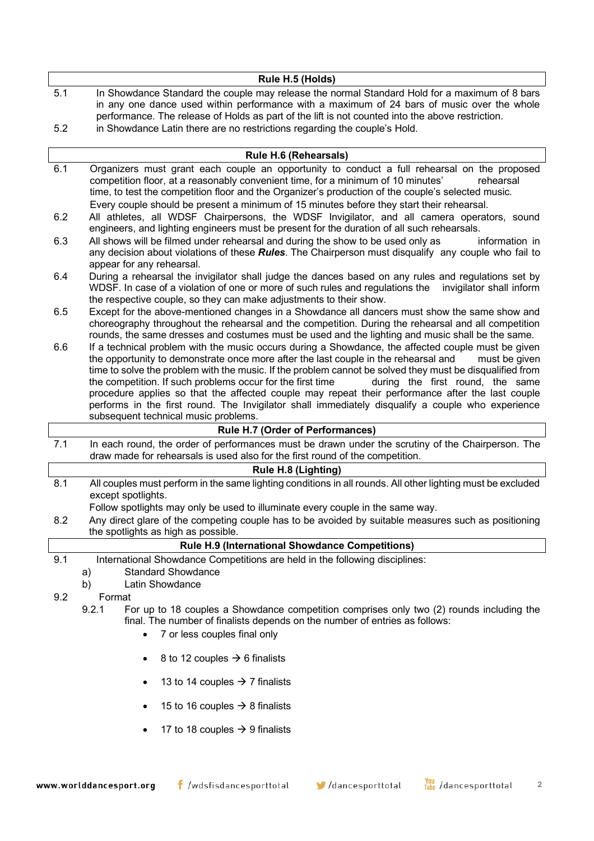|     | Rule H.5 (Holds)                                                                                 |
|-----|--------------------------------------------------------------------------------------------------|
| 5.1 | In Showdance Standard the couple may release the normal Standard Hold for a maximum of 8 bars    |
|     | in any one dance used within performance with a maximum of 24 bars of music over the whole       |
|     | performance. The release of Holds as part of the lift is not counted into the above restriction. |
| 5.2 | in Showdance Latin there are no restrictions regarding the couple's Hold.                        |

|     | <b>Rule H.6 (Rehearsals)</b>                                                                                                                                                                                                                                                                                                                                                                                                                                                                                                                                                                                                                                              |
|-----|---------------------------------------------------------------------------------------------------------------------------------------------------------------------------------------------------------------------------------------------------------------------------------------------------------------------------------------------------------------------------------------------------------------------------------------------------------------------------------------------------------------------------------------------------------------------------------------------------------------------------------------------------------------------------|
| 6.1 | Organizers must grant each couple an opportunity to conduct a full rehearsal on the proposed<br>competition floor, at a reasonably convenient time, for a minimum of 10 minutes'<br>rehearsal<br>time, to test the competition floor and the Organizer's production of the couple's selected music.<br>Every couple should be present a minimum of 15 minutes before they start their rehearsal.                                                                                                                                                                                                                                                                          |
| 6.2 | All athletes, all WDSF Chairpersons, the WDSF Invigilator, and all camera operators, sound<br>engineers, and lighting engineers must be present for the duration of all such rehearsals.                                                                                                                                                                                                                                                                                                                                                                                                                                                                                  |
| 6.3 | All shows will be filmed under rehearsal and during the show to be used only as<br>information in<br>any decision about violations of these Rules. The Chairperson must disqualify any couple who fail to<br>appear for any rehearsal.                                                                                                                                                                                                                                                                                                                                                                                                                                    |
| 6.4 | During a rehearsal the invigilator shall judge the dances based on any rules and regulations set by<br>WDSF. In case of a violation of one or more of such rules and regulations the invigilator shall inform<br>the respective couple, so they can make adjustments to their show.                                                                                                                                                                                                                                                                                                                                                                                       |
| 6.5 | Except for the above-mentioned changes in a Showdance all dancers must show the same show and<br>choreography throughout the rehearsal and the competition. During the rehearsal and all competition<br>rounds, the same dresses and costumes must be used and the lighting and music shall be the same.                                                                                                                                                                                                                                                                                                                                                                  |
| 6.6 | If a technical problem with the music occurs during a Showdance, the affected couple must be given<br>the opportunity to demonstrate once more after the last couple in the rehearsal and<br>must be given<br>time to solve the problem with the music. If the problem cannot be solved they must be disqualified from<br>the competition. If such problems occur for the first time<br>during the first round, the same<br>procedure applies so that the affected couple may repeat their performance after the last couple<br>performs in the first round. The Invigilator shall immediately disqualify a couple who experience<br>subsequent technical music problems. |
|     | Rule H.7 (Order of Performances)                                                                                                                                                                                                                                                                                                                                                                                                                                                                                                                                                                                                                                          |
| 7.1 | In each round, the order of performances must be drawn under the scrutiny of the Chairperson. The<br>draw made for rehearsals is used also for the first round of the competition.                                                                                                                                                                                                                                                                                                                                                                                                                                                                                        |
|     | <b>Rule H.8 (Lighting)</b>                                                                                                                                                                                                                                                                                                                                                                                                                                                                                                                                                                                                                                                |
| 8.1 | All couples must perform in the same lighting conditions in all rounds. All other lighting must be excluded<br>except spotlights.                                                                                                                                                                                                                                                                                                                                                                                                                                                                                                                                         |
|     | Follow spotlights may only be used to illuminate every couple in the same way.                                                                                                                                                                                                                                                                                                                                                                                                                                                                                                                                                                                            |
| 8.2 | Any direct glare of the competing couple has to be avoided by suitable measures such as positioning<br>the spotlights as high as possible.                                                                                                                                                                                                                                                                                                                                                                                                                                                                                                                                |
|     | Rule H.9 (International Showdance Competitions)                                                                                                                                                                                                                                                                                                                                                                                                                                                                                                                                                                                                                           |
| 9.1 | International Showdance Competitions are held in the following disciplines:                                                                                                                                                                                                                                                                                                                                                                                                                                                                                                                                                                                               |
|     | <b>Standard Showdance</b><br>a)                                                                                                                                                                                                                                                                                                                                                                                                                                                                                                                                                                                                                                           |
|     | Latin Showdance<br>b)                                                                                                                                                                                                                                                                                                                                                                                                                                                                                                                                                                                                                                                     |
| 9.2 | Format                                                                                                                                                                                                                                                                                                                                                                                                                                                                                                                                                                                                                                                                    |
|     | 9.2.1<br>For up to 18 couples a Showdance competition comprises only two (2) rounds including the<br>final. The number of finalists depends on the number of entries as follows:                                                                                                                                                                                                                                                                                                                                                                                                                                                                                          |
|     | 7 or less couples final only<br>$\bullet$                                                                                                                                                                                                                                                                                                                                                                                                                                                                                                                                                                                                                                 |
|     | 8 to 12 couples $\rightarrow$ 6 finalists<br>$\bullet$                                                                                                                                                                                                                                                                                                                                                                                                                                                                                                                                                                                                                    |

- 13 to 14 couples  $\rightarrow$  7 finalists
- 15 to 16 couples  $\rightarrow$  8 finalists
- 17 to 18 couples  $\rightarrow$  9 finalists

//dancesporttotal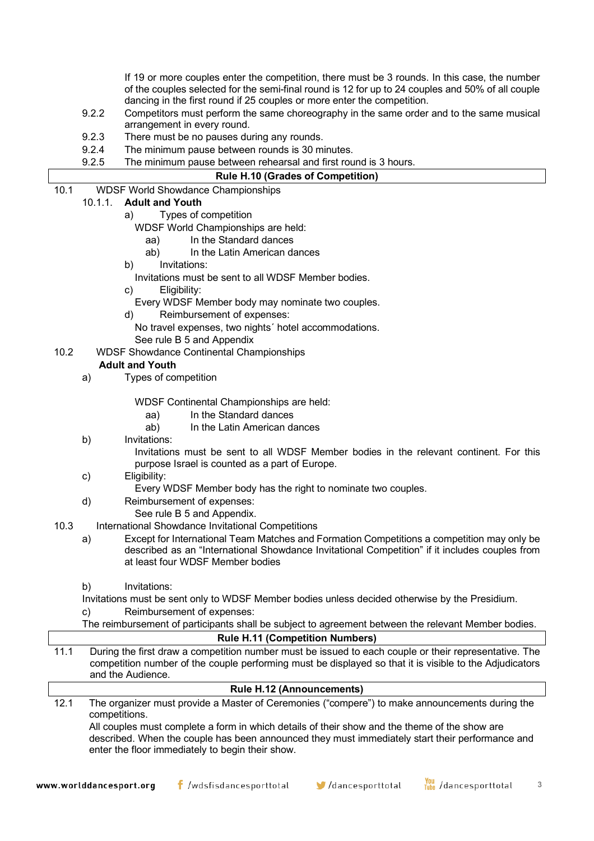If 19 or more couples enter the competition, there must be 3 rounds. In this case, the number of the couples selected for the semi-final round is 12 for up to 24 couples and 50% of all couple dancing in the first round if 25 couples or more enter the competition.

- 9.2.2 Competitors must perform the same choreography in the same order and to the same musical arrangement in every round.
- 9.2.3 There must be no pauses during any rounds.
- 9.2.4 The minimum pause between rounds is 30 minutes.
- 9.2.5 The minimum pause between rehearsal and first round is 3 hours.

## **Rule H.10 (Grades of Competition)**

10.1 WDSF World Showdance Championships

# 10.1.1. **Adult and Youth**

- a) Types of competition
	- WDSF World Championships are held:
		- aa) In the Standard dances
		- ab) In the Latin American dances
- b) Invitations:
	- Invitations must be sent to all WDSF Member bodies.
- c) Eligibility:

Every WDSF Member body may nominate two couples.

- d) Reimbursement of expenses:
	- No travel expenses, two nights´ hotel accommodations. See rule B 5 and Appendix
- 10.2 WDSF Showdance Continental Championships

## **Adult and Youth**

a) Types of competition

WDSF Continental Championships are held:

- aa) In the Standard dances
- ab) In the Latin American dances
- b) Invitations:
	- Invitations must be sent to all WDSF Member bodies in the relevant continent. For this purpose Israel is counted as a part of Europe.
- c) Eligibility:
	- Every WDSF Member body has the right to nominate two couples.
- d) Reimbursement of expenses:
	- See rule B 5 and Appendix.
- 10.3 International Showdance Invitational Competitions
	- a) Except for International Team Matches and Formation Competitions a competition may only be described as an "International Showdance Invitational Competition" if it includes couples from at least four WDSF Member bodies
	- b) Invitations:

Invitations must be sent only to WDSF Member bodies unless decided otherwise by the Presidium. c) Reimbursement of expenses:

The reimbursement of participants shall be subject to agreement between the relevant Member bodies.

## **Rule H.11 (Competition Numbers)**

11.1 During the first draw a competition number must be issued to each couple or their representative. The competition number of the couple performing must be displayed so that it is visible to the Adjudicators and the Audience.

|      | <b>Rule H.12 (Announcements)</b>                                                                                |
|------|-----------------------------------------------------------------------------------------------------------------|
| 12.1 | The organizer must provide a Master of Ceremonies ("compere") to make announcements during the<br>competitions. |
|      | All couples must complete a form in which details of their show and the theme of the show are                   |

described. When the couple has been announced they must immediately start their performance and enter the floor immediately to begin their show.

**3**